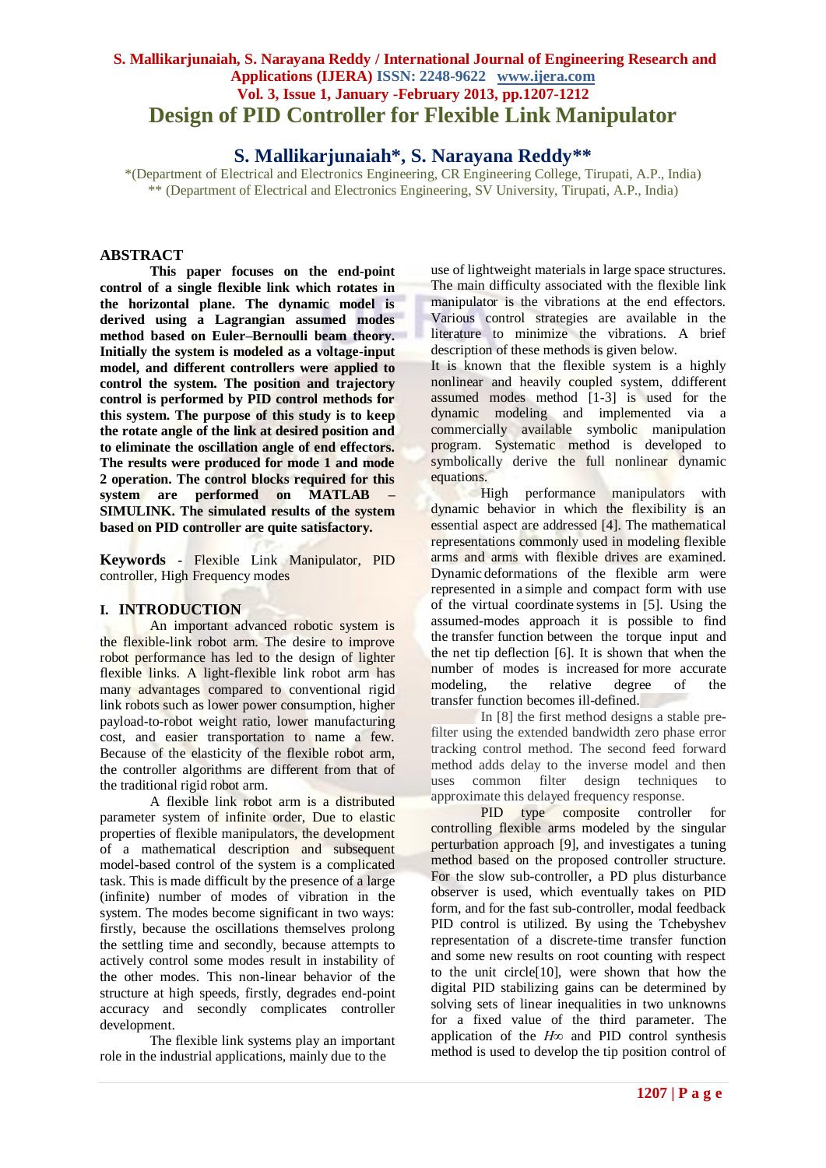## **S. Mallikarjunaiah, S. Narayana Reddy / International Journal of Engineering Research and Applications (IJERA) ISSN: 2248-9622 www.ijera.com Vol. 3, Issue 1, January -February 2013, pp.1207-1212 Design of PID Controller for Flexible Link Manipulator**

**S. Mallikarjunaiah\*, S. Narayana Reddy\*\***

\*(Department of Electrical and Electronics Engineering, CR Engineering College, Tirupati, A.P., India) \*\* (Department of Electrical and Electronics Engineering, SV University, Tirupati, A.P., India)

## **ABSTRACT**

**This paper focuses on the end-point control of a single flexible link which rotates in the horizontal plane. The dynamic model is derived using a Lagrangian assumed modes method based on Euler–Bernoulli beam theory. Initially the system is modeled as a voltage-input model, and different controllers were applied to control the system. The position and trajectory control is performed by PID control methods for this system. The purpose of this study is to keep the rotate angle of the link at desired position and to eliminate the oscillation angle of end effectors. The results were produced for mode 1 and mode 2 operation. The control blocks required for this system are performed on MATLAB – SIMULINK. The simulated results of the system based on PID controller are quite satisfactory.**

**Keywords -** Flexible Link Manipulator, PID controller, High Frequency modes

#### **I. INTRODUCTION**

An important advanced robotic system is the flexible-link robot arm. The desire to improve robot performance has led to the design of lighter flexible links. A light-flexible link robot arm has many advantages compared to conventional rigid link robots such as lower power consumption, higher payload-to-robot weight ratio, lower manufacturing cost, and easier transportation to name a few. Because of the elasticity of the flexible robot arm, the controller algorithms are different from that of the traditional rigid robot arm.

A flexible link robot arm is a distributed parameter system of infinite order, Due to elastic properties of flexible manipulators, the development of a mathematical description and subsequent model-based control of the system is a complicated task. This is made difficult by the presence of a large (infinite) number of modes of vibration in the system. The modes become significant in two ways: firstly, because the oscillations themselves prolong the settling time and secondly, because attempts to actively control some modes result in instability of the other modes. This non-linear behavior of the structure at high speeds, firstly, degrades end-point accuracy and secondly complicates controller development.

The flexible link systems play an important role in the industrial applications, mainly due to the

use of lightweight materials in large space structures. The main difficulty associated with the flexible link manipulator is the vibrations at the end effectors. Various control strategies are available in the literature to minimize the vibrations. A brief description of these methods is given below.

It is known that the flexible system is a highly nonlinear and heavily coupled system, ddifferent assumed modes method [1-3] is used for the dynamic modeling and implemented via a commercially available symbolic manipulation program. Systematic method is developed to symbolically derive the full nonlinear dynamic equations.

High performance manipulators with dynamic behavior in which the flexibility is an essential aspect are addressed [4]. The mathematical representations commonly used in modeling flexible arms and arms with flexible drives are examined. Dynamic deformations of the flexible arm were represented in a simple and compact form with use of the virtual coordinate systems in [5]. Using the assumed-modes approach it is possible to find the transfer function between the torque input and the net tip deflection [6]. It is shown that when the number of modes is increased for more accurate modeling, the relative degree of the transfer function becomes ill-defined.

In [8] the first method designs a stable prefilter using the extended bandwidth zero phase error tracking control method. The second feed forward method adds delay to the inverse model and then uses common filter design techniques to approximate this delayed frequency response.

PID type composite controller for controlling flexible arms modeled by the singular perturbation approach [9], and investigates a tuning method based on the proposed controller structure. For the slow sub-controller, a PD plus disturbance observer is used, which eventually takes on PID form, and for the fast sub-controller, modal feedback PID control is utilized. By using the Tchebyshev representation of a discrete-time transfer function and some new results on root counting with respect to the unit circle[10], were shown that how the digital PID stabilizing gains can be determined by solving sets of linear inequalities in two unknowns for a fixed value of the third parameter. The application of the *H∞* and PID control synthesis method is used to develop the tip position control of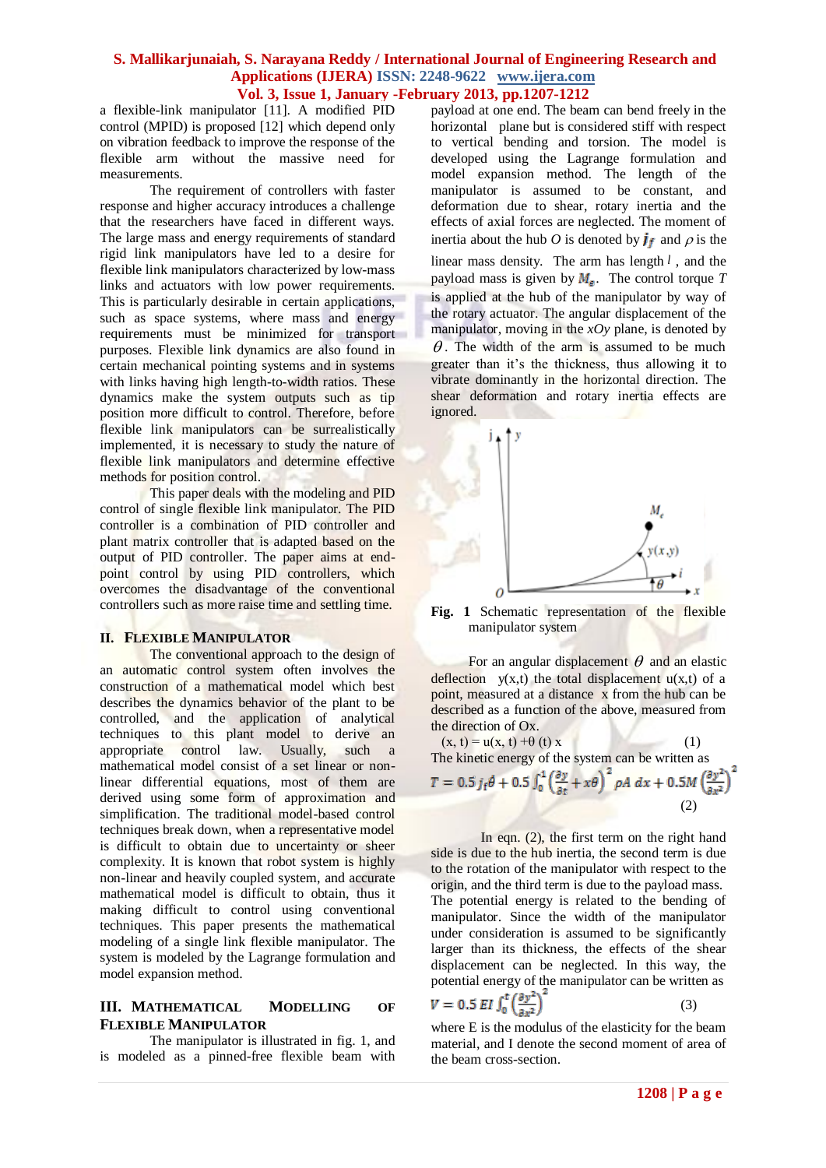a flexible-link manipulator [11]. A modified PID control (MPID) is proposed [12] which depend only on vibration feedback to improve the response of the flexible arm without the massive need for measurements.

The requirement of controllers with faster response and higher accuracy introduces a challenge that the researchers have faced in different ways. The large mass and energy requirements of standard rigid link manipulators have led to a desire for flexible link manipulators characterized by low-mass links and actuators with low power requirements. This is particularly desirable in certain applications, such as space systems, where mass and energy requirements must be minimized for transport purposes. Flexible link dynamics are also found in certain mechanical pointing systems and in systems with links having high length-to-width ratios. These dynamics make the system outputs such as tip position more difficult to control. Therefore, before flexible link manipulators can be surrealistically implemented, it is necessary to study the nature of flexible link manipulators and determine effective methods for position control.

This paper deals with the modeling and PID control of single flexible link manipulator. The PID controller is a combination of PID controller and plant matrix controller that is adapted based on the output of PID controller. The paper aims at endpoint control by using PID controllers, which overcomes the disadvantage of the conventional controllers such as more raise time and settling time.

#### **II. FLEXIBLE MANIPULATOR**

The conventional approach to the design of an automatic control system often involves the construction of a mathematical model which best describes the dynamics behavior of the plant to be controlled, and the application of analytical techniques to this plant model to derive an appropriate control law. Usually, such a mathematical model consist of a set linear or nonlinear differential equations, most of them are derived using some form of approximation and simplification. The traditional model-based control techniques break down, when a representative model is difficult to obtain due to uncertainty or sheer complexity. It is known that robot system is highly non-linear and heavily coupled system, and accurate mathematical model is difficult to obtain, thus it making difficult to control using conventional techniques. This paper presents the mathematical modeling of a single link flexible manipulator. The system is modeled by the Lagrange formulation and model expansion method.

### **III. MATHEMATICAL MODELLING OF FLEXIBLE MANIPULATOR**

The manipulator is illustrated in fig. 1, and is modeled as a pinned-free flexible beam with

payload at one end. The beam can bend freely in the horizontal plane but is considered stiff with respect to vertical bending and torsion. The model is developed using the Lagrange formulation and model expansion method. The length of the manipulator is assumed to be constant, and deformation due to shear, rotary inertia and the effects of axial forces are neglected. The moment of inertia about the hub *O* is denoted by  $\mathbf{j}_f$  and  $\rho$  is the linear mass density. The arm has length *l* , and the

payload mass is given by  $M_{\epsilon}$ . The control torque *T* is applied at the hub of the manipulator by way of the rotary actuator. The angular displacement of the manipulator, moving in the *xOy* plane, is denoted by  $\theta$ . The width of the arm is assumed to be much greater than it's the thickness, thus allowing it to vibrate dominantly in the horizontal direction. The shear deformation and rotary inertia effects are ignored.



**Fig. 1** Schematic representation of the flexible manipulator system

For an angular displacement  $\theta$  and an elastic deflection  $y(x,t)$  the total displacement  $u(x,t)$  of a point, measured at a distance x from the hub can be described as a function of the above, measured from the direction of Ox.

 $(x, t) = u(x, t) + \theta (t) x$ The kinetic energy of the system can be written as<br>  $T = 0.5 j_f \theta + 0.5 \int_0^1 \left(\frac{\partial y}{\partial t} + x\theta\right)^2 \rho A dx + 0.5M \left(\frac{\partial y^2}{\partial x^2}\right)^2$ (2)

In eqn. (2), the first term on the right hand side is due to the hub inertia, the second term is due to the rotation of the manipulator with respect to the origin, and the third term is due to the payload mass. The potential energy is related to the bending of manipulator. Since the width of the manipulator under consideration is assumed to be significantly larger than its thickness, the effects of the shear displacement can be neglected. In this way, the potential energy of the manipulator can be written as

$$
V = 0.5 EI \int_0^t \left(\frac{\partial y^2}{\partial x^2}\right)
$$
 (3)

where E is the modulus of the elasticity for the beam material, and I denote the second moment of area of the beam cross-section.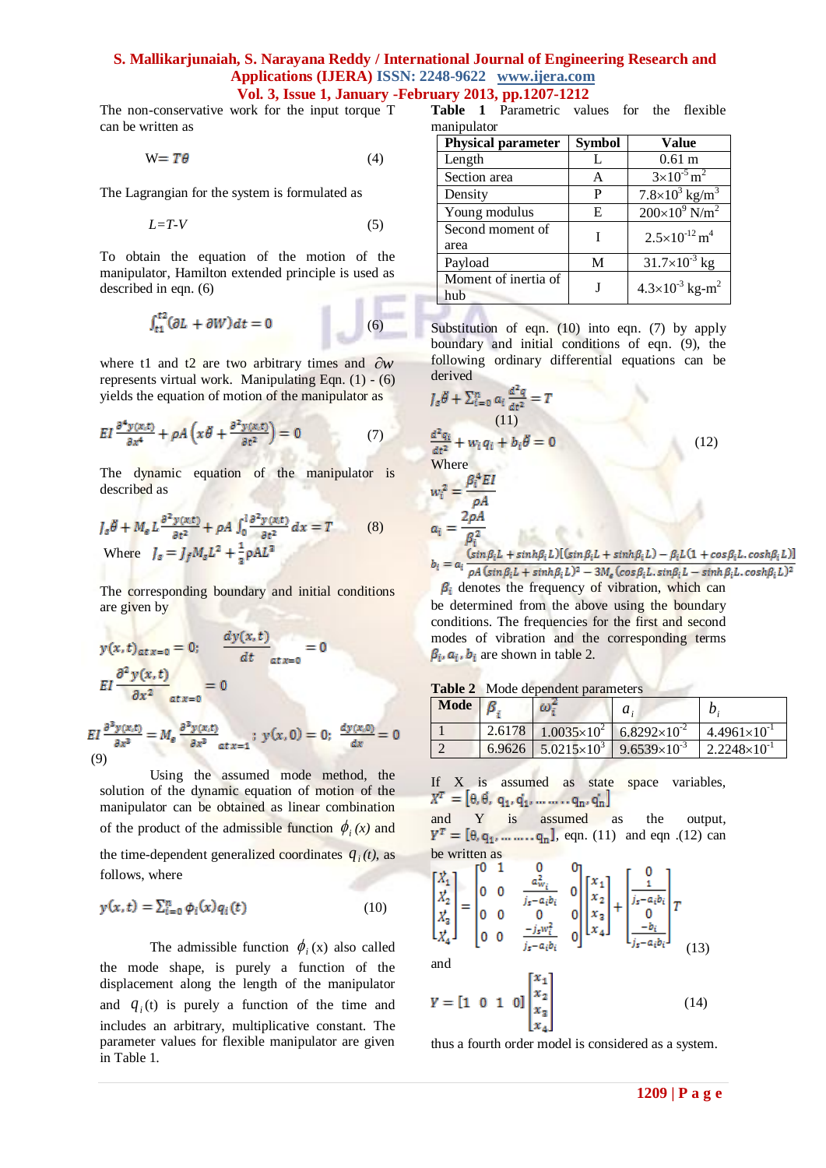# **S. Mallikarjunaiah, S. Narayana Reddy / International Journal of Engineering Research and Applications (IJERA) ISSN: 2248-9622 www.ijera.com**

**Vol. 3, Issue 1, January -February 2013, pp.1207-1212**

The non-conservative work for the input torque T can be written as

$$
W = T\theta \tag{4}
$$

The Lagrangian for the system is formulated as

$$
L=T-V\tag{5}
$$

To obtain the equation of the motion of the manipulator, Hamilton extended principle is used as described in eqn. (6)  $-10$ 

$$
\int_{t_1}^{t_2} (\partial L + \partial W) dt = 0 \tag{6}
$$

where t1 and  $t^2$  are two arbitrary times and  $\partial w$ represents virtual work. Manipulating Eqn. (1) - (6) yields the equation of motion of the manipulator as

$$
EI\frac{\partial^4 y(x,t)}{\partial x^4} + \rho A\left(x\ddot{\theta} + \frac{\partial^2 y(x,t)}{\partial t^2}\right) = 0\tag{7}
$$

The dynamic equation of the manipulator is described as

$$
J_s \ddot{\theta} + M_e L \frac{\partial^2 y(x,t)}{\partial t^2} + \rho A \int_0^l \frac{\partial^2 y(x,t)}{\partial t^2} dx = T
$$
 (8)  
Where 
$$
J_s = J_f M_s L^2 + \frac{1}{3} \rho A L^3
$$

The corresponding boundary and initial conditions are given by

$$
y(x,t)_{at\,x=0} = 0; \qquad \frac{dy(x,t)}{dt} = 0
$$

$$
EI \frac{\partial^2 y(x,t)}{\partial x^2} \Big|_{at\,x=0} = 0
$$

 $= M_e \frac{\partial^3 y(x,t)}{\partial x^3}$  at  $x = 1$  ;  $y(x, 0) = 0$ ;  $\frac{dy(x,0)}{dx} = 0$ (9)

Using the assumed mode method, the solution of the dynamic equation of motion of the manipulator can be obtained as linear combination of the product of the admissible function  $\phi_i(x)$  and the time-dependent generalized coordinates  $q_i(t)$ , as follows, where

$$
y(x,t) = \sum_{i=0}^{n} \phi_i(x) q_i(t)
$$
 (10)

The admissible function  $\phi_i(x)$  also called the mode shape, is purely a function of the displacement along the length of the manipulator and  $q_i(t)$  is purely a function of the time and includes an arbitrary, multiplicative constant. The parameter values for flexible manipulator are given in Table 1.

**Table 1** Parametric values for the flexible manipulator

| <b>Physical parameter</b> | <b>Symbol</b> | <b>Value</b>                           |
|---------------------------|---------------|----------------------------------------|
| Length                    |               | 0.61 <sub>m</sub>                      |
| Section area              | A             | $3\times10^{-5}$ m <sup>2</sup>        |
| Density                   | P             | $7.8\times10^3$ kg/m <sup>3</sup>      |
| Young modulus             | E             | $200\times10^9$ N/m <sup>2</sup>       |
| Second moment of          |               | $2.5 \times 10^{-12}$ m <sup>4</sup>   |
| area                      |               |                                        |
| Payload                   | М             | $31.7\times10^{-3}$ kg                 |
| Moment of inertia of      |               | $4.3 \times 10^{-3}$ kg-m <sup>2</sup> |
| hub                       |               |                                        |

Substitution of eqn. (10) into eqn. (7) by apply boundary and initial conditions of eqn. (9), the following ordinary differential equations can be derived

$$
J_s \ddot{\theta} + \sum_{i=0}^n a_i \frac{d^2 q}{dt^2} = T
$$
  
\n(11)  
\n
$$
\frac{d^2 q_i}{dt^2} + w_i q_i + b_i \ddot{\theta} = 0
$$
  
\nWhere  
\n
$$
w_i^2 = \frac{\beta_i^4 EI}{\rho A}
$$
  
\n
$$
a_i = \frac{2\rho A}{\beta_i^2}
$$
\n(12)

 $b_i = a_i \frac{(\sin \beta_i L + \sinh \beta_i L) [(\sin \beta_i L + \sinh \beta_i L) - \beta_i L (1 + \cos \beta_i L, \cosh \beta_i L)]}{\rho A (\sin \beta_i L + \sinh \beta_i L)^2 - 3 M_e (\cos \beta_i L, \sin \beta_i L - \sinh \beta_i L, \cosh \beta_i L)^2}$ 

be determined from the above using the boundary  $\beta_i$  denotes the frequency of vibration, which can conditions. The frequencies for the first and second modes of vibration and the corresponding terms  $\beta_i$ ,  $a_i$ ,  $b_i$  are shown in table 2.

|  |  |  | Table 2 Mode dependent parameters |  |
|--|--|--|-----------------------------------|--|
|--|--|--|-----------------------------------|--|

| Mode $\beta$ | - ധ" | $a_{i}$                                                                                      |  |
|--------------|------|----------------------------------------------------------------------------------------------|--|
|              |      | $\left  2.6178 \right  1.0035 \times 10^{2}$ 6.8292×10 <sup>-2</sup> 4.4961×10 <sup>-1</sup> |  |
|              |      | 6.9626   $5.0215 \times 10^3$   $9.6539 \times 10^{-3}$   $2.2248 \times 10^{-1}$            |  |

If X is assumed as state space variables,  $X^T = [0, 0, q_1, q_1, \ldots, q_n, q_n]$ 

and Y is assumed as the output,  $Y^T = [\theta, q_1, \dots, q_n], \text{ eqn. (11) and eqn. (12) can}$ be written as

$$
\begin{bmatrix} \vec{x}_1 \\ \vec{x}_2 \\ \vec{x}_3 \\ \vec{x}_4 \end{bmatrix} = \begin{bmatrix} 0 & 1 & 0 & 0 \\ 0 & 0 & \frac{a_{w_i}^2}{j_s - a_i b_i} & 0 \\ 0 & 0 & 0 & 0 \\ 0 & 0 & \frac{-j_s w_i^2}{j_s - a_i b_i} & 0 \end{bmatrix} \begin{bmatrix} x_1 \\ x_2 \\ x_3 \\ x_4 \end{bmatrix} + \begin{bmatrix} 0 \\ \frac{1}{j_s - a_i b_i} \\ 0 \\ \frac{-b_i}{j_s - a_i b_i} \end{bmatrix} T
$$
\n(13)

and

$$
Y = \begin{bmatrix} 1 & 0 & 1 & 0 \end{bmatrix} \begin{bmatrix} x_1 \\ x_2 \\ x_3 \\ x_4 \end{bmatrix}
$$
 (14)

thus a fourth order model is considered as a system.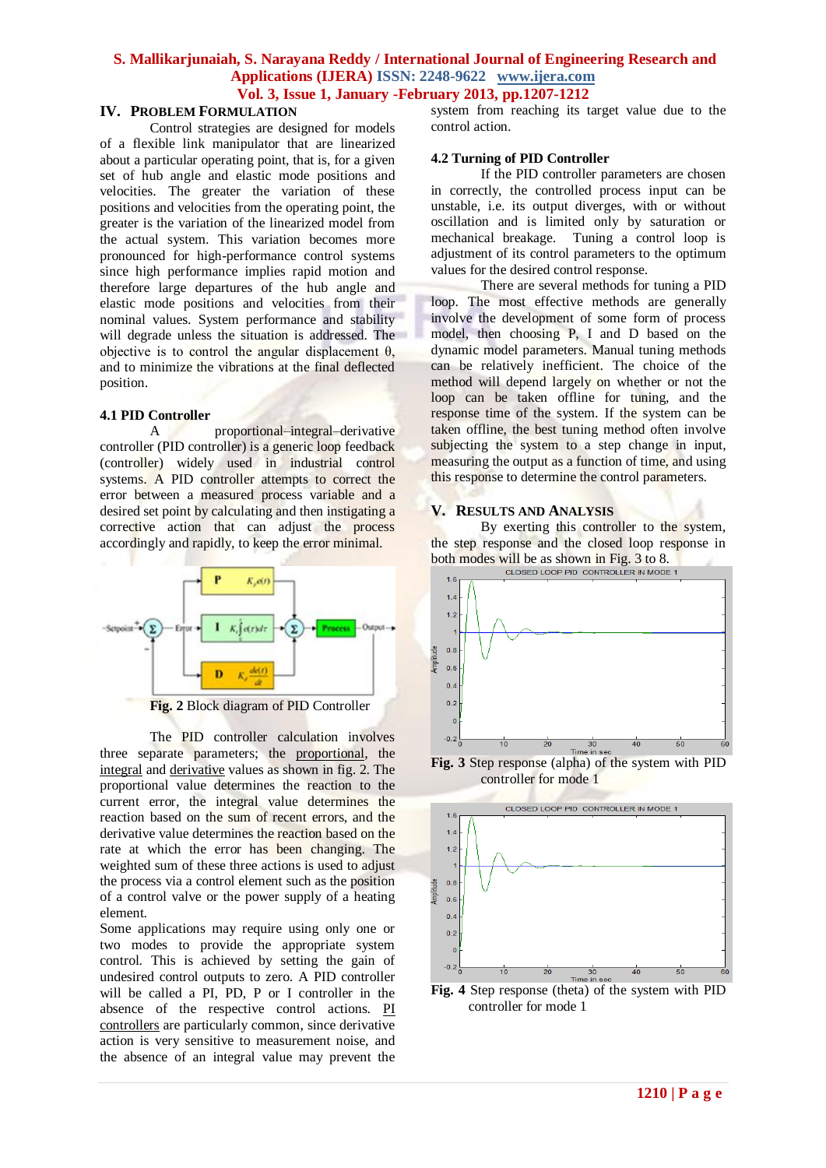## **IV. PROBLEM FORMULATION**

Control strategies are designed for models of a flexible link manipulator that are linearized about a particular operating point, that is, for a given set of hub angle and elastic mode positions and velocities. The greater the variation of these positions and velocities from the operating point, the greater is the variation of the linearized model from the actual system. This variation becomes more pronounced for high-performance control systems since high performance implies rapid motion and therefore large departures of the hub angle and elastic mode positions and velocities from their nominal values. System performance and stability will degrade unless the situation is addressed. The objective is to control the angular displacement  $θ$ , and to minimize the vibrations at the final deflected position.

#### **4.1 PID Controller**

A proportional–integral–derivative controller (PID controller) is a generic loop feedback [\(controller\)](http://en.wikipedia.org/wiki/Controller_(control_theory)) widely used in industrial [control](http://en.wikipedia.org/wiki/Control_system)  [systems.](http://en.wikipedia.org/wiki/Control_system) A PID controller attempts to correct the error between a measured [process variable](http://en.wikipedia.org/wiki/Process_variable) and a desire[d set point](http://en.wikipedia.org/wiki/Setpoint_(control_system)) by calculating and then instigating a corrective action that can adjust the process accordingly and rapidly, to keep the error minimal.



**Fig. 2** Block diagram of PID Controller

The PID controller calculation involves three separate parameters; the [proportional,](http://en.wikipedia.org/wiki/Proportionality_(mathematics)) the [integral](http://en.wikipedia.org/wiki/Integral) and [derivative](http://en.wikipedia.org/wiki/Derivative) values as shown in fig. 2. The proportional value determines the reaction to the current error, the integral value determines the reaction based on the sum of recent errors, and the derivative value determines the reaction based on the rate at which the error has been changing. The weighted sum of these three actions is used to adjust the process via a control element such as the position of a control valve or the power supply of a heating element.

Some applications may require using only one or two modes to provide the appropriate system control. This is achieved by setting the gain of undesired control outputs to zero. A PID controller will be called a PI, PD, P or I controller in the absence of the respective control actions. [PI](http://en.wikipedia.org/wiki/PI_controller)  [controllers](http://en.wikipedia.org/wiki/PI_controller) are particularly common, since derivative action is very sensitive to measurement noise, and the absence of an integral value may prevent the

system from reaching its target value due to the control action.

#### **4.2 Turning of PID Controller**

If the PID controller parameters are chosen in correctly, the controlled process input can be unstable, i.e. its output diverges, with or without oscillation and is limited only by saturation or mechanical breakage. Tuning a control loop is adjustment of its control parameters to the optimum values for the desired control response.

There are several methods for tuning a PID loop. The most effective methods are generally involve the development of some form of process model, then choosing P, I and D based on the dynamic model parameters. Manual tuning methods can be relatively inefficient. The choice of the method will depend largely on whether or not the loop can be taken offline for tuning, and the response time of the system. If the system can be taken offline, the best tuning method often involve subjecting the system to a step change in input, measuring the output as a function of time, and using this response to determine the control parameters.

## **V. RESULTS AND ANALYSIS**

By exerting this controller to the system, the step response and the closed loop response in both modes will be as shown in Fig.  $3 \text{ to } 8$ .



**Fig. 3** Step response (alpha) of the system with PID controller for mode 1



**Fig. 4** Step response (theta) of the system with PID controller for mode 1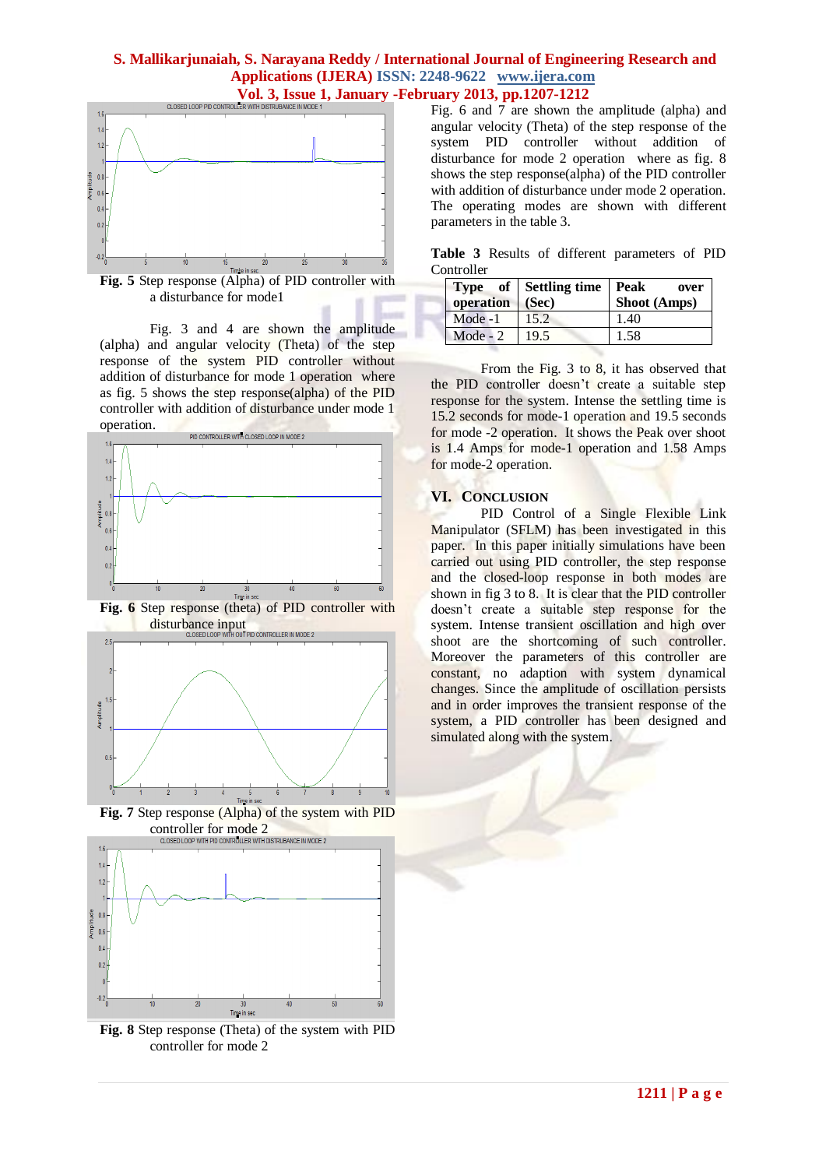

**Fig. 5** Step response (Alpha) of PID controller with a disturbance for mode1

Fig. 3 and 4 are shown the amplitude (alpha) and angular velocity (Theta) of the step response of the system PID controller without addition of disturbance for mode 1 operation where as fig. 5 shows the step response(alpha) of the PID controller with addition of disturbance under mode 1 operation.



**Fig. 6** Step response (theta) of PID controller with disturbance input<br>disturbance input



**Fig. 7** Step response (Alpha) of the system with PID CONTROLLET for mode 2<br>CLOSED LOOP WITH PID CONTROLLER WITH DISTRUBANCE IN MODE 2



**Fig. 8** Step response (Theta) of the system with PID controller for mode 2

Fig. 6 and 7 are shown the amplitude (alpha) and angular velocity (Theta) of the step response of the system PID controller without addition of disturbance for mode 2 operation where as fig. 8 shows the step response(alpha) of the PID controller with addition of disturbance under mode 2 operation. The operating modes are shown with different parameters in the table 3.

**Table 3** Results of different parameters of PID **Controller** 

| operation  | Type of Settling time Peak<br>(Sec) | over<br>Shoot (Amps) |
|------------|-------------------------------------|----------------------|
| $Mode -1$  | 15.2                                | 1.40                 |
| Mode - $2$ | 19.5                                | 1.58                 |

From the Fig. 3 to 8, it has observed that the PID controller doesn't create a suitable step response for the system. Intense the settling time is 15.2 seconds for mode-1 operation and 19.5 seconds for mode -2 operation. It shows the Peak over shoot is 1.4 Amps for mode-1 operation and 1.58 Amps for mode-2 operation.

#### **VI. CONCLUSION**

PID Control of a Single Flexible Link Manipulator (SFLM) has been investigated in this paper. In this paper initially simulations have been carried out using PID controller, the step response and the closed-loop response in both modes are shown in fig 3 to 8. It is clear that the PID controller doesn't create a suitable step response for the system. Intense transient oscillation and high over shoot are the shortcoming of such controller. Moreover the parameters of this controller are constant, no adaption with system dynamical changes. Since the amplitude of oscillation persists and in order improves the transient response of the system, a PID controller has been designed and simulated along with the system.